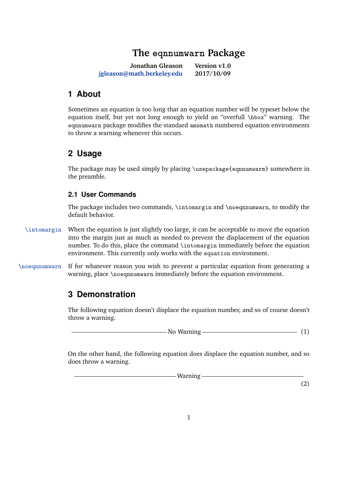# **The eqnnumwarn Package**

**Jonathan Gleason [jgleason@math.berkeley.edu](mailto:jgleason@math.berkeley.edu) Version v1.0 2017/10/09**

## <span id="page-0-0"></span>**1 About**

Sometimes an equation is too long that an equation number will be typeset below the equation itself, but yet not long enough to yield an "overfull \hbox" warning. The eqnnumwarn package modifies the standard amsmath numbered equation environments to throw a warning whenever this occurs.

## **2 Usage**

The package may be used simply by placing \usepackage{eqnnumwarm} somewhere in the preamble.

### **2.1 User Commands**

The package includes two commands, \intomargin and \noeqnnumwarn, to modify the default behavior.

- \intomargin When the equation is just slightly too large, it can be acceptable to move the equation into the margin just as much as needed to prevent the displacement of the equation number. To do this, place the command \intomargin immediately before the equation environment. This currently only works with the equation environment.
- \noeqnnumwarn If for whatever reason you wish to prevent a particular equation from generating a warning, place \noeqnnumwarn immediately before the equation environment.

## **3 Demonstration**

The following equation doesn't displace the equation number, and so of course doesn't throw a warning.

 $\frac{1}{1}$  No Warning  $\frac{1}{1}$  (1)

On the other hand, the following equation does displace the equation number, and so does throw a warning.

-Warning-

(2)